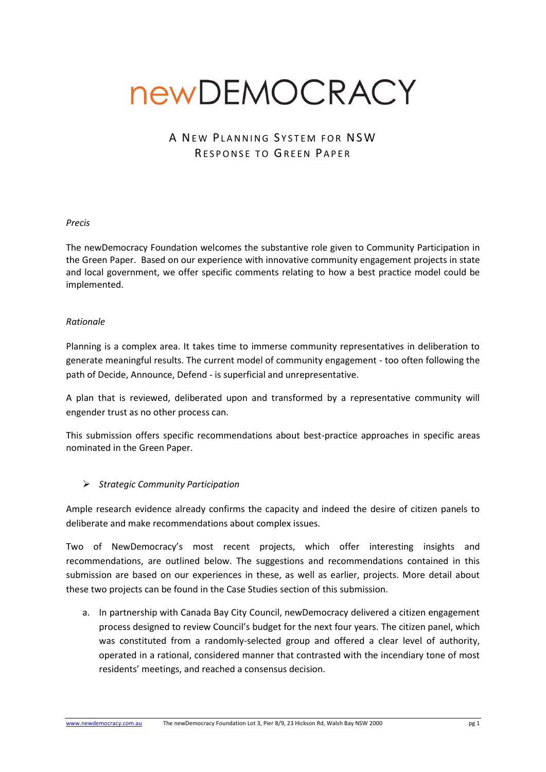# newDEMOCRACY

## A NEW PLANNING SYSTEM FOR NSW RESPONSE TO GREEN PAPER

#### *Precis*

The newDemocracy Foundation welcomes the substantive role given to Community Participation in the Green Paper. Based on our experience with innovative community engagement projects in state and local government, we offer specific comments relating to how a best practice model could be implemented.

#### *Rationale*

Planning is a complex area. It takes time to immerse community representatives in deliberation to generate meaningful results. The current model of community engagement - too often following the path of Decide, Announce, Defend - is superficial and unrepresentative.

A plan that is reviewed, deliberated upon and transformed by a representative community will engender trust as no other process can.

This submission offers specific recommendations about best-practice approaches in specific areas nominated in the Green Paper.

#### *Strategic Community Participation*

Ample research evidence already confirms the capacity and indeed the desire of citizen panels to deliberate and make recommendations about complex issues.

Two of NewDemocracy's most recent projects, which offer interesting insights and recommendations, are outlined below. The suggestions and recommendations contained in this submission are based on our experiences in these, as well as earlier, projects. More detail about these two projects can be found in the Case Studies section of this submission.

a. In partnership with Canada Bay City Council, newDemocracy delivered a citizen engagement process designed to review Council's budget for the next four years. The citizen panel, which was constituted from a randomly-selected group and offered a clear level of authority, operated in a rational, considered manner that contrasted with the incendiary tone of most residents' meetings, and reached a consensus decision.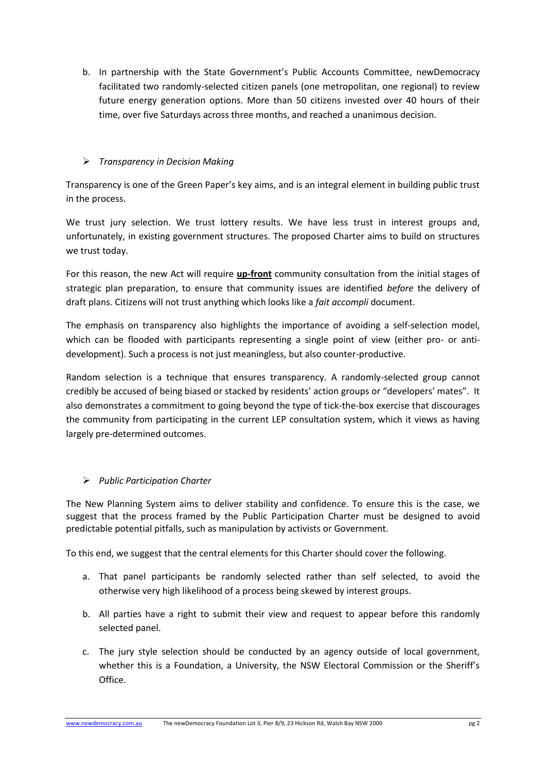b. In partnership with the State Government's Public Accounts Committee, newDemocracy facilitated two randomly-selected citizen panels (one metropolitan, one regional) to review future energy generation options. More than 50 citizens invested over 40 hours of their time, over five Saturdays across three months, and reached a unanimous decision.

## *Transparency in Decision Making*

Transparency is one of the Green Paper's key aims, and is an integral element in building public trust in the process.

We trust jury selection. We trust lottery results. We have less trust in interest groups and, unfortunately, in existing government structures. The proposed Charter aims to build on structures we trust today.

For this reason, the new Act will require **up-front** community consultation from the initial stages of strategic plan preparation, to ensure that community issues are identified *before* the delivery of draft plans. Citizens will not trust anything which looks like a *fait accompli* document.

The emphasis on transparency also highlights the importance of avoiding a self-selection model, which can be flooded with participants representing a single point of view (either pro- or antidevelopment). Such a process is not just meaningless, but also counter-productive.

Random selection is a technique that ensures transparency. A randomly-selected group cannot credibly be accused of being biased or stacked by residents' action groups or "developers' mates". It also demonstrates a commitment to going beyond the type of tick-the-box exercise that discourages the community from participating in the current LEP consultation system, which it views as having largely pre-determined outcomes.

## *Public Participation Charter*

The New Planning System aims to deliver stability and confidence. To ensure this is the case, we suggest that the process framed by the Public Participation Charter must be designed to avoid predictable potential pitfalls, such as manipulation by activists or Government.

To this end, we suggest that the central elements for this Charter should cover the following.

- a. That panel participants be randomly selected rather than self selected, to avoid the otherwise very high likelihood of a process being skewed by interest groups.
- b. All parties have a right to submit their view and request to appear before this randomly selected panel.
- c. The jury style selection should be conducted by an agency outside of local government, whether this is a Foundation, a University, the NSW Electoral Commission or the Sheriff's Office.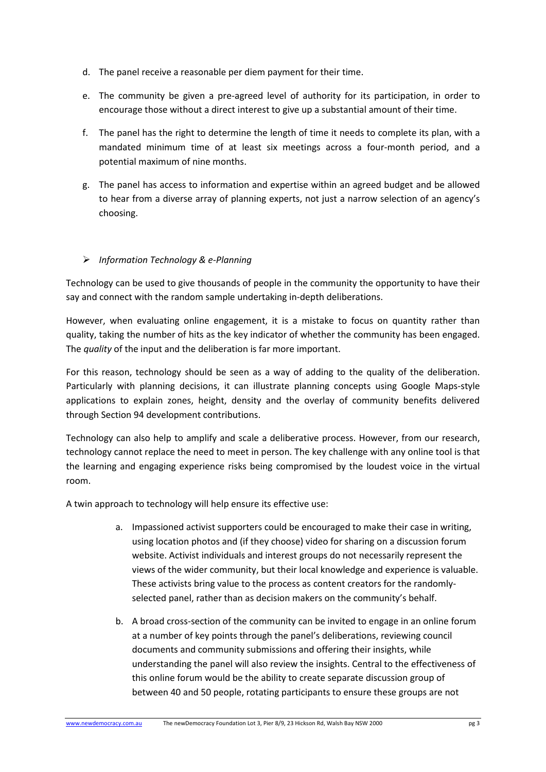- d. The panel receive a reasonable per diem payment for their time.
- e. The community be given a pre-agreed level of authority for its participation, in order to encourage those without a direct interest to give up a substantial amount of their time.
- f. The panel has the right to determine the length of time it needs to complete its plan, with a mandated minimum time of at least six meetings across a four-month period, and a potential maximum of nine months.
- g. The panel has access to information and expertise within an agreed budget and be allowed to hear from a diverse array of planning experts, not just a narrow selection of an agency's choosing.

## *Information Technology & e-Planning*

Technology can be used to give thousands of people in the community the opportunity to have their say and connect with the random sample undertaking in-depth deliberations.

However, when evaluating online engagement, it is a mistake to focus on quantity rather than quality, taking the number of hits as the key indicator of whether the community has been engaged. The *quality* of the input and the deliberation is far more important.

For this reason, technology should be seen as a way of adding to the quality of the deliberation. Particularly with planning decisions, it can illustrate planning concepts using Google Maps-style applications to explain zones, height, density and the overlay of community benefits delivered through Section 94 development contributions.

Technology can also help to amplify and scale a deliberative process. However, from our research, technology cannot replace the need to meet in person. The key challenge with any online tool is that the learning and engaging experience risks being compromised by the loudest voice in the virtual room.

A twin approach to technology will help ensure its effective use:

- a. Impassioned activist supporters could be encouraged to make their case in writing, using location photos and (if they choose) video for sharing on a discussion forum website. Activist individuals and interest groups do not necessarily represent the views of the wider community, but their local knowledge and experience is valuable. These activists bring value to the process as content creators for the randomlyselected panel, rather than as decision makers on the community's behalf.
- b. A broad cross-section of the community can be invited to engage in an online forum at a number of key points through the panel's deliberations, reviewing council documents and community submissions and offering their insights, while understanding the panel will also review the insights. Central to the effectiveness of this online forum would be the ability to create separate discussion group of between 40 and 50 people, rotating participants to ensure these groups are not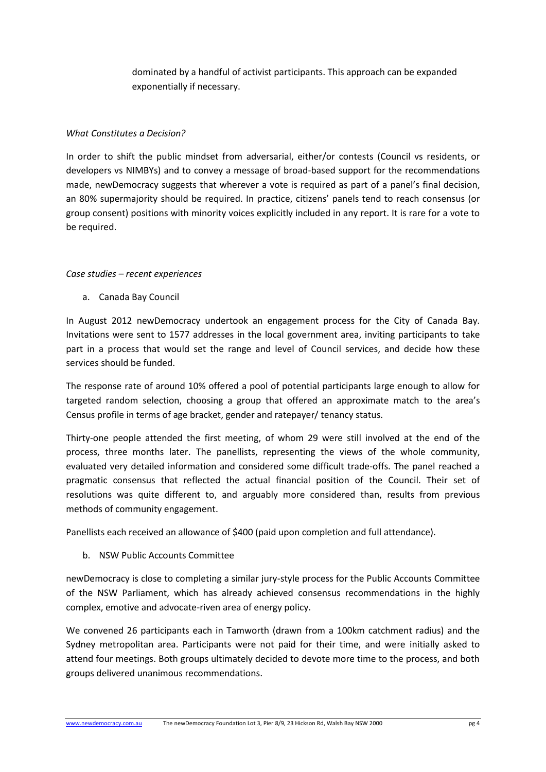dominated by a handful of activist participants. This approach can be expanded exponentially if necessary.

### *What Constitutes a Decision?*

In order to shift the public mindset from adversarial, either/or contests (Council vs residents, or developers vs NIMBYs) and to convey a message of broad-based support for the recommendations made, newDemocracy suggests that wherever a vote is required as part of a panel's final decision, an 80% supermajority should be required. In practice, citizens' panels tend to reach consensus (or group consent) positions with minority voices explicitly included in any report. It is rare for a vote to be required.

### *Case studies – recent experiences*

a. Canada Bay Council

In August 2012 newDemocracy undertook an engagement process for the City of Canada Bay. Invitations were sent to 1577 addresses in the local government area, inviting participants to take part in a process that would set the range and level of Council services, and decide how these services should be funded.

The response rate of around 10% offered a pool of potential participants large enough to allow for targeted random selection, choosing a group that offered an approximate match to the area's Census profile in terms of age bracket, gender and ratepayer/ tenancy status.

Thirty-one people attended the first meeting, of whom 29 were still involved at the end of the process, three months later. The panellists, representing the views of the whole community, evaluated very detailed information and considered some difficult trade-offs. The panel reached a pragmatic consensus that reflected the actual financial position of the Council. Their set of resolutions was quite different to, and arguably more considered than, results from previous methods of community engagement.

Panellists each received an allowance of \$400 (paid upon completion and full attendance).

b. NSW Public Accounts Committee

newDemocracy is close to completing a similar jury-style process for the Public Accounts Committee of the NSW Parliament, which has already achieved consensus recommendations in the highly complex, emotive and advocate-riven area of energy policy.

We convened 26 participants each in Tamworth (drawn from a 100km catchment radius) and the Sydney metropolitan area. Participants were not paid for their time, and were initially asked to attend four meetings. Both groups ultimately decided to devote more time to the process, and both groups delivered unanimous recommendations.